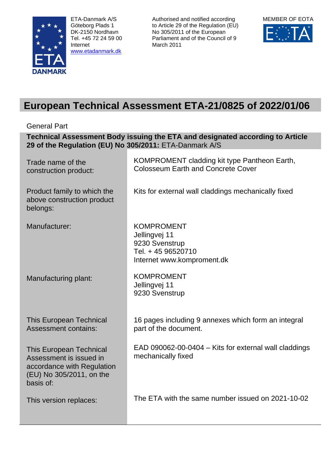

ETA-Danmark A/S Göteborg Plads 1 DK-2150 Nordhavn Tel. +45 72 24 59 00 Internet [www.etadanmark.dk](http://www.etadanmark.dk/)

Authorised and notified according to Article 29 of the Regulation (EU) No 305/2011 of the European Parliament and of the Council of 9 March 2011



# **European Technical Assessment ETA-21/0825 of 2022/01/06**

General Part

**Technical Assessment Body issuing the ETA and designated according to Article 29 of the Regulation (EU) No 305/2011:** ETA-Danmark A/S

| Trade name of the<br>construction product:                                                                                       | KOMPROMENT cladding kit type Pantheon Earth,<br><b>Colosseum Earth and Concrete Cover</b>                |
|----------------------------------------------------------------------------------------------------------------------------------|----------------------------------------------------------------------------------------------------------|
| Product family to which the<br>above construction product<br>belongs:                                                            | Kits for external wall claddings mechanically fixed                                                      |
| Manufacturer:                                                                                                                    | <b>KOMPROMENT</b><br>Jellingvej 11<br>9230 Svenstrup<br>Tel. + 45 96520710<br>Internet www.komproment.dk |
| Manufacturing plant:                                                                                                             | <b>KOMPROMENT</b><br>Jellingvej 11<br>9230 Svenstrup                                                     |
| <b>This European Technical</b><br><b>Assessment contains:</b>                                                                    | 16 pages including 9 annexes which form an integral<br>part of the document.                             |
| <b>This European Technical</b><br>Assessment is issued in<br>accordance with Regulation<br>(EU) No 305/2011, on the<br>basis of: | EAD 090062-00-0404 - Kits for external wall claddings<br>mechanically fixed                              |
| This version replaces:                                                                                                           | The ETA with the same number issued on 2021-10-02                                                        |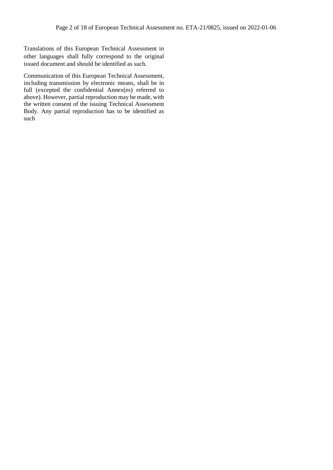Translations of this European Technical Assessment in other languages shall fully correspond to the original issued document and should be identified as such.

Communication of this European Technical Assessment, including transmission by electronic means, shall be in full (excepted the confidential Annex(es) referred to above). However, partial reproduction may be made, with the written consent of the issuing Technical Assessment Body. Any partial reproduction has to be identified as such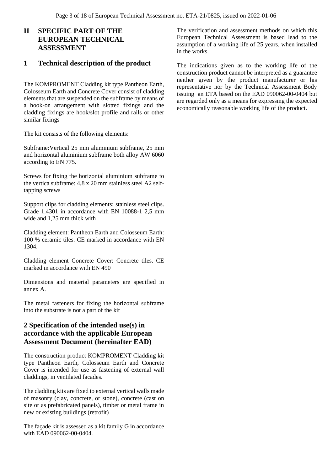# **II SPECIFIC PART OF THE EUROPEAN TECHNICAL ASSESSMENT**

## **1 Technical description of the product**

The KOMPROMENT Cladding kit type Pantheon Earth, Colosseum Earth and Concrete Cover consist of cladding elements that are suspended on the subframe by means of a hook-on arrangement with slotted fixings and the cladding fixings are hook/slot profile and rails or other similar fixings

The kit consists of the following elements:

Subframe:Vertical 25 mm aluminium subframe, 25 mm and horizontal aluminium subframe both alloy AW 6060 according to EN 775.

Screws for fixing the horizontal aluminium subframe to the vertica subframe: 4,8 x 20 mm stainless steel A2 selftapping screws

Support clips for cladding elements: stainless steel clips. Grade 1.4301 in accordance with EN 10088-1 2,5 mm wide and 1,25 mm thick with

Cladding element: Pantheon Earth and Colosseum Earth: 100 % ceramic tiles. CE marked in accordance with EN 1304.

Cladding element Concrete Cover: Concrete tiles. CE marked in accordance with EN 490

Dimensions and material parameters are specified in annex A.

The metal fasteners for fixing the horizontal subframe into the substrate is not a part of the kit

## **2 Specification of the intended use(s) in accordance with the applicable European Assessment Document (hereinafter EAD)**

The construction product KOMPROMENT Cladding kit type Pantheon Earth, Colosseum Earth and Concrete Cover is intended for use as fastening of external wall claddings, in ventilated facades.

The cladding kits are fixed to external vertical walls made of masonry (clay, concrete, or stone), concrete (cast on site or as prefabricated panels), timber or metal frame in new or existing buildings (retrofit)

The façade kit is assessed as a kit family G in accordance with EAD 090062-00-0404.

The verification and assessment methods on which this European Technical Assessment is based lead to the assumption of a working life of 25 years, when installed in the works.

The indications given as to the working life of the construction product cannot be interpreted as a guarantee neither given by the product manufacturer or his representative nor by the Technical Assessment Body issuing an ETA based on the EAD 090062-00-0404 but are regarded only as a means for expressing the expected economically reasonable working life of the product.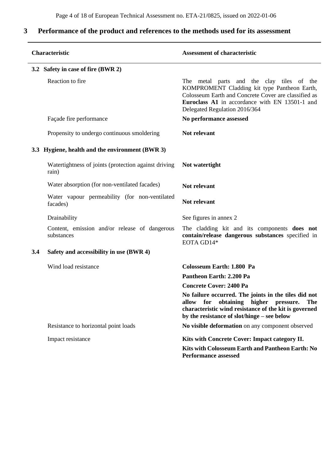# **Characteristic Assessment of characteristic 3.2 Safety in case of fire (BWR 2)** Reaction to fire The metal parts and the clay tiles of the Reaction to fire KOMPROMENT Cladding kit type Pantheon Earth, Colosseum Earth and Concrete Cover are classified as **Euroclass A1** in accordance with EN 13501-1 and Delegated Regulation 2016/364 Façade fire performance **No performance assessed** Propensity to undergo continuous smoldering **Not relevant 3.3 Hygiene, health and the environment (BWR 3)** Watertightness of joints (protection against driving rain) **Not watertight** Water absorption (for non-ventilated facades) **Not relevant** Water vapour permeability (for non-ventilated facades) **Not relevant** Drainability See figures in annex 2 Content, emission and/or release of dangerous substances The cladding kit and its components **does not contain/release dangerous substances** specified in EOTA GD14\* **3.4 Safety and accessibility in use (BWR 4)** Wind load resistance **Colosseum Earth: 1.800 Pa Pantheon Earth: 2.200 Pa Concrete Cover: 2400 Pa No failure occurred. The joints in the tiles did not allow for obtaining higher pressure. The characteristic wind resistance of the kit is governed by the resistance of slot/hinge – see below** Resistance to horizontal point loads **No visible deformation** on any component observed Impact resistance **Kits with Concrete Cover: Impact category II. Kits with Colosseum Earth and Pantheon Earth: No Performance assessed**

# **3 Performance of the product and references to the methods used for its assessment**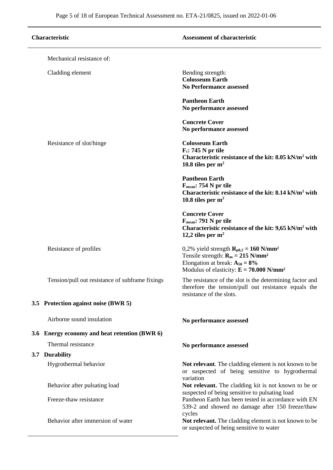| <b>Characteristic</b>                           | <b>Assessment of characteristic</b>                                                                                                                                                                             |
|-------------------------------------------------|-----------------------------------------------------------------------------------------------------------------------------------------------------------------------------------------------------------------|
| Mechanical resistance of:                       |                                                                                                                                                                                                                 |
| Cladding element                                | Bending strength:<br><b>Colosseum Earth</b><br><b>No Performance assessed</b>                                                                                                                                   |
|                                                 | <b>Pantheon Earth</b><br>No performance assessed                                                                                                                                                                |
|                                                 | <b>Concrete Cover</b><br>No performance assessed                                                                                                                                                                |
| Resistance of slot/hinge                        | <b>Colosseum Earth</b><br>$F_c$ : 745 N pr tile<br>Characteristic resistance of the kit: 8.05 kN/m <sup>2</sup> with<br>10.8 tiles per $m2$                                                                     |
|                                                 | <b>Pantheon Earth</b><br>$F_{\text{mean}}$ : 754 N pr tile<br>Characteristic resistance of the kit: 8.14 kN/m <sup>2</sup> with<br>10.8 tiles per $m2$                                                          |
|                                                 | <b>Concrete Cover</b><br>$F_{mean}$ : 791 N pr tile<br>Characteristic resistance of the kit: 9,65 kN/m <sup>2</sup> with<br>12,2 tiles per $m2$                                                                 |
| Resistance of profiles                          | 0,2% yield strength $\mathbf{R}_{p0,2} = 160 \text{ N/mm}^2$<br>Tensile strength: $R_m = 215$ N/mm <sup>2</sup><br>Elongation at break: $A_{50} = 8\%$<br>Modulus of elasticity: $E = 70.000$ N/mm <sup>2</sup> |
| Tension/pull out resistance of subframe fixings | The resistance of the slot is the determining factor and<br>therefore the tension/pull out resistance equals the<br>resistance of the slots.                                                                    |
| 3.5 Protection against noise (BWR 5)            |                                                                                                                                                                                                                 |
| Airborne sound insulation                       | No performance assessed                                                                                                                                                                                         |
| 3.6 Energy economy and heat retention (BWR 6)   |                                                                                                                                                                                                                 |
| Thermal resistance                              | No performance assessed                                                                                                                                                                                         |
| 3.7 Durability                                  |                                                                                                                                                                                                                 |
| Hygrothermal behavior                           | Not relevant. The cladding element is not known to be<br>or suspected of being sensitive to hygrothermal                                                                                                        |
| Behavior after pulsating load                   | variation<br>Not relevant. The cladding kit is not known to be or<br>suspected of being sensitive to pulsating load                                                                                             |
| Freeze-thaw resistance                          | Pantheon Earth has been tested in accordance with EN<br>539-2 and showed no damage after 150 freeze/thaw                                                                                                        |
| Behavior after immersion of water               | cycles<br>Not relevant. The cladding element is not known to be<br>or suspected of being sensitive to water                                                                                                     |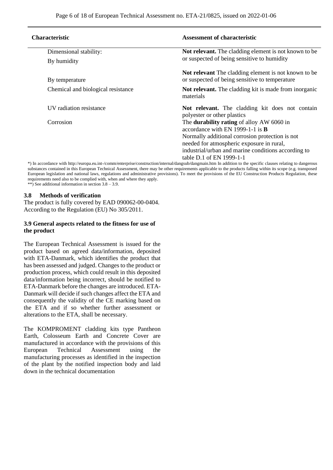| Assessment of characteristic                                                                           |
|--------------------------------------------------------------------------------------------------------|
| Not relevant. The cladding element is not known to be                                                  |
| or suspected of being sensitive to humidity                                                            |
| Not relevant The cladding element is not known to be<br>or suspected of being sensitive to temperature |
| <b>Not relevant.</b> The cladding kit is made from inorganic<br>materials                              |
| Not relevant. The cladding kit does not contain<br>polyester or other plastics                         |
| The <b>durability rating</b> of alloy AW 6060 in                                                       |
| accordance with EN 1999-1-1 is <b>B</b>                                                                |
| Normally additional corrosion protection is not                                                        |
| needed for atmospheric exposure in rural,<br>industrial/urban and marine conditions according to       |
| table D.1 of EN 1999-1-1                                                                               |
|                                                                                                        |

\*) In accordance with http://europa.eu.int-/comm/enterprise/construction/internal/dangsub/dangmain.htm In addition to the specific clauses relating to dangerous substances contained in this European Technical Assessment, there may be other requirements applicable to the products falling within its scope (e.g. transposed European legislation and national laws, regulations and administrative provisions). To meet the provisions of the EU Construction Products Regulation, these requirements need also to be complied with, when and where they apply.

\*\*) See additional information in section 3.8 – 3.9.

### **3.8 Methods of verification**

The product is fully covered by EAD 090062-00-0404. According to the Regulation (EU) No 305/2011.

### **3.9 General aspects related to the fitness for use of the product**

The European Technical Assessment is issued for the product based on agreed data/information, deposited with ETA-Danmark, which identifies the product that has been assessed and judged. Changes to the product or production process, which could result in this deposited data/information being incorrect, should be notified to ETA-Danmark before the changes are introduced. ETA-Danmark will decide if such changes affect the ETA and consequently the validity of the CE marking based on the ETA and if so whether further assessment or alterations to the ETA, shall be necessary.

The KOMPROMENT cladding kits type Pantheon Earth, Colosseum Earth and Concrete Cover are manufactured in accordance with the provisions of this European Technical Assessment using the manufacturing processes as identified in the inspection of the plant by the notified inspection body and laid down in the technical documentation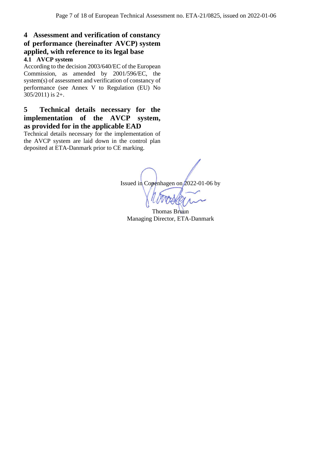# **4 Assessment and verification of constancy of performance (hereinafter AVCP) system applied, with reference to its legal base 4.1 AVCP system**

According to the decision 2003/640/EC of the European Commission, as amended by 2001/596/EC, the system(s) of assessment and verification of constancy of performance (see Annex V to Regulation (EU) No  $305/2011$ ) is 2+.

# **5 Technical details necessary for the implementation of the AVCP system, as provided for in the applicable EAD**

Technical details necessary for the implementation of the AVCP system are laid down in the control plan deposited at ETA-Danmark prior to CE marking.

Issued in Copenhagen on 2022-01-06 by

Thomas Bruun Managing Director, ETA-Danmark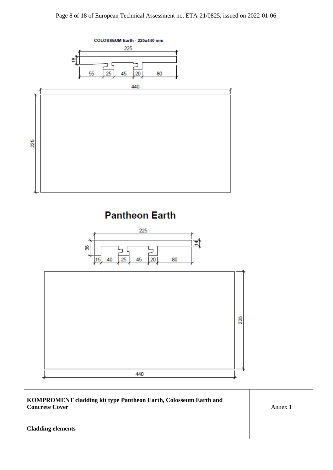

# **Pantheon Earth**





**Cladding elements**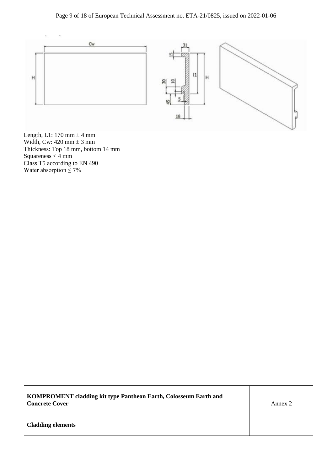## Page 9 of 18 of European Technical Assessment no. ETA-21/0825, issued on 2022-01-06



Length, L1: 170 mm  $\pm$  4 mm Width, Cw:  $420$  mm  $\pm$  3 mm Thickness: Top 18 mm, bottom 14 mm Squareness < 4 mm Class T5 according to EN 490 Water absorption  $\leq 7\%$ 

| <b>Cladding elements</b> | KOMPROMENT cladding kit type Pantheon Earth, Colosseum Earth and<br><b>Concrete Cover</b> | Annex 2 |
|--------------------------|-------------------------------------------------------------------------------------------|---------|
|                          |                                                                                           |         |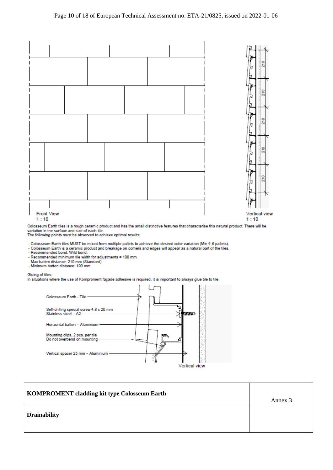

Colosseum Earth tiles is a rough ceramic product and has the small distinctive features that characterise this natural product. There will be<br>variation in the surface and size of each tile.

The following points must be observed to achieve optimal results:

- Colosseum Earth tiles MUST be mixed from multiple pallets to achieve the desired color variation (Min 4-6 pallets).

- Colosseum Earth is a ceramic product and breakage on corners and edges will appear as a natural part of the tiles.<br>- Recommended bond: Wild bond.

- Recommended minimum tile width for adjustments = 100 mm

- Max batten distance: 210 mm (Standard)

- Minimum batten distance: 190 mm

#### Gluing of tiles:

In situations where the use of Komproment façade adhesive is required, it is important to always glue tile to tile.



| <b>KOMPROMENT cladding kit type Colosseum Earth</b> | Annex 3 |
|-----------------------------------------------------|---------|
| <b>Drainability</b>                                 |         |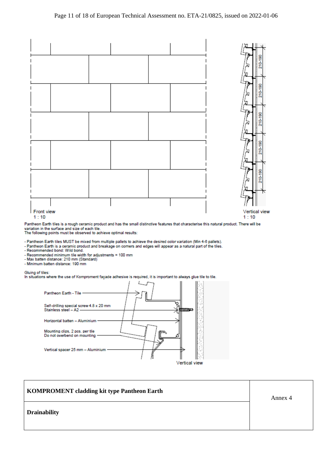

Pantheon Earth tiles is a rough ceramic product and has the small distinctive features that characterise this natural product. There will be removements and size of each tile.<br>The following points must be observed to achieve optimal results:

- Pantheon Earth tiles MUST be mixed from multiple pallets to achieve the desired color variation (Min 4-6 pallets).

- Pantheon Earth is a ceramic product and breakage on corners and edges will appear as a natural part of the tiles.

- Recommended bond: Wild bond.

- Recommended minimum tile width for adjustments = 100 mm
- Max batten distance: 210 mm (Standard)
- Minimum batten distance: 190 mm

#### Gluing of tiles:

In situations where the use of Komproment façade adhesive is required, it is important to always glue tile to tile.



| <b>KOMPROMENT cladding kit type Pantheon Earth</b> | Annex 4 |
|----------------------------------------------------|---------|
| <b>Drainability</b>                                |         |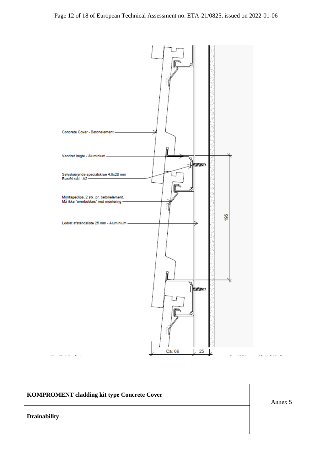

| <b>KOMPROMENT cladding kit type Concrete Cover</b> | Annex 5 |
|----------------------------------------------------|---------|
| <b>Drainability</b>                                |         |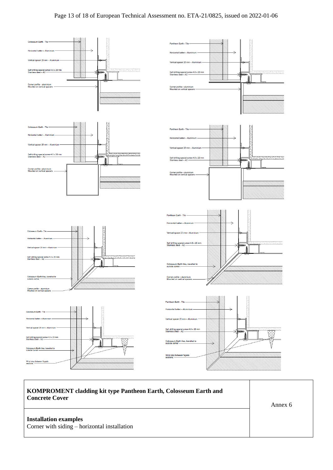## Page 13 of 18 of European Technical Assessment no. ETA-21/0825, issued on 2022-01-06



# **KOMPROMENT cladding kit type Pantheon Earth, Colosseum Earth and Concrete Cover** Annex 6 **Installation examples** Corner with siding – horizontal installation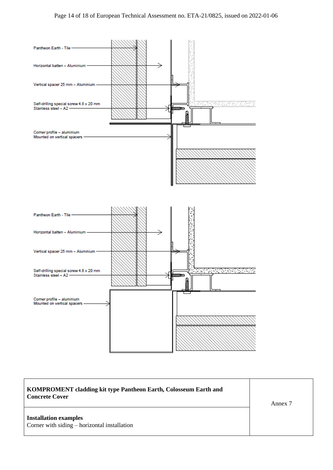

**KOMPROMENT cladding kit type Pantheon Earth, Colosseum Earth and Concrete Cover** Annex 7 **Installation examples** Corner with siding – horizontal installation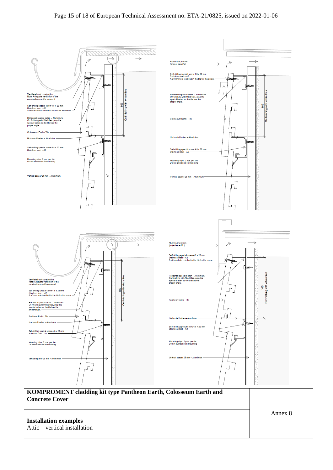## Page 15 of 18 of European Technical Assessment no. ETA-21/0825, issued on 2022-01-06

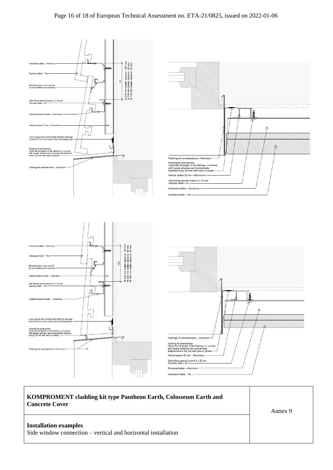## Page 16 of 18 of European Technical Assessment no. ETA-21/0825, issued on 2022-01-06



## **KOMPROMENT cladding kit type Pantheon Earth, Colosseum Earth and Concrete Cover**

## **Installation examples**

Side window connection – vertical and horizontal installation

Annex 9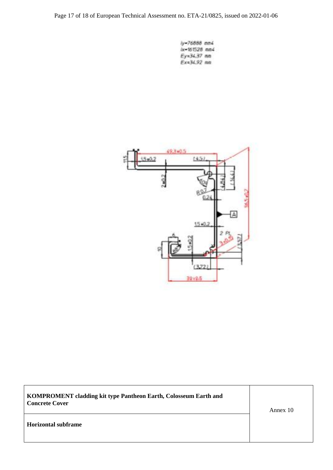ly-76888 mm4  $1x - 161528$  mm4 Ey=34.37 mm<br>Ex=34.92 mm



| KOMPROMENT cladding kit type Pantheon Earth, Colosseum Earth and<br><b>Concrete Cover</b> | Annex 10 |
|-------------------------------------------------------------------------------------------|----------|
| <b>Horizontal subframe</b>                                                                |          |